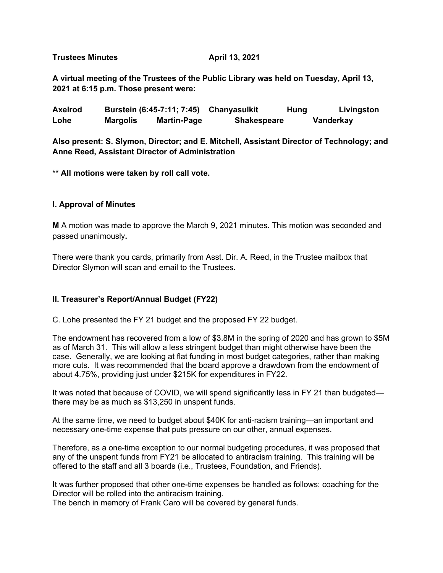**Trustees Minutes April 13, 2021** 

**A virtual meeting of the Trustees of the Public Library was held on Tuesday, April 13, 2021 at 6:15 p.m. Those present were:**

Axelrod Burstein (6:45-7:11; 7:45) Chanyasulkit Hung Livingston **Lohe Margolis Martin-Page Shakespeare Vanderkay** 

**Also present: S. Slymon, Director; and E. Mitchell, Assistant Director of Technology; and Anne Reed, Assistant Director of Administration**

**\*\* All motions were taken by roll call vote.**

#### **I. Approval of Minutes**

**M** A motion was made to approve the March 9, 2021 minutes. This motion was seconded and passed unanimously**.** 

There were thank you cards, primarily from Asst. Dir. A. Reed, in the Trustee mailbox that Director Slymon will scan and email to the Trustees.

### **II. Treasurer's Report/Annual Budget (FY22)**

C. Lohe presented the FY 21 budget and the proposed FY 22 budget.

The endowment has recovered from a low of \$3.8M in the spring of 2020 and has grown to \$5M as of March 31. This will allow a less stringent budget than might otherwise have been the case. Generally, we are looking at flat funding in most budget categories, rather than making more cuts. It was recommended that the board approve a drawdown from the endowment of about 4.75%, providing just under \$215K for expenditures in FY22.

It was noted that because of COVID, we will spend significantly less in FY 21 than budgeted there may be as much as \$13,250 in unspent funds.

At the same time, we need to budget about \$40K for anti-racism training—an important and necessary one-time expense that puts pressure on our other, annual expenses.

Therefore, as a one-time exception to our normal budgeting procedures, it was proposed that any of the unspent funds from FY21 be allocated to antiracism training. This training will be offered to the staff and all 3 boards (i.e., Trustees, Foundation, and Friends).

It was further proposed that other one-time expenses be handled as follows: coaching for the Director will be rolled into the antiracism training.

The bench in memory of Frank Caro will be covered by general funds.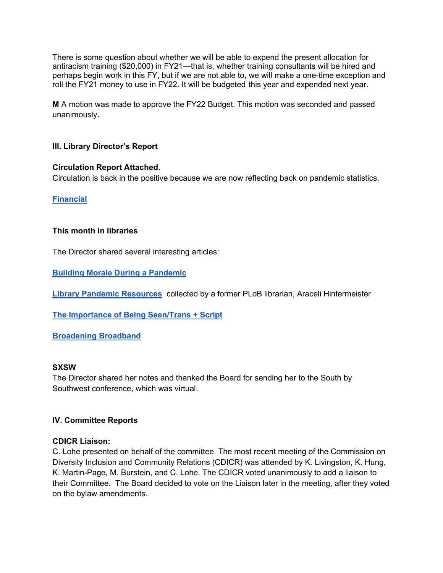There is some question about whether we will be able to expend the present allocation for antiracism training (\$20,000) in FY21—that is, whether training consultants will be hired and perhaps begin work in this FY, but if we are not able to, we will make a one-time exception and roll the FY21 money to use in FY22. It will be budgeted this year and expended next year.

**M** A motion was made to approve the FY22 Budget. This motion was seconded and passed unanimously**.** 

### **III. Library Director's Report**

### **Circulation Report Attached.**

Circulation is back in the positive because we are now reflecting back on pandemic statistics.

**Financial**

#### **This month in libraries**

The Director shared several interesting articles:

**Building Morale During a Pandemic**

**Library Pandemic Resources** collected by a former PLoB librarian, Araceli Hintermeister

**The Importance of Being Seen/Trans + Script**

**Broadening Broadband**

#### **SXSW**

The Director shared her notes and thanked the Board for sending her to the South by Southwest conference, which was virtual.

### **IV. Committee Reports**

#### **CDICR Liaison:**

C. Lohe presented on behalf of the committee. The most recent meeting of the Commission on Diversity Inclusion and Community Relations (CDICR) was attended by K. Livingston, K. Hung, K. Martin-Page, M. Burstein, and C. Lohe. The CDICR voted unanimously to add a liaison to their Committee. The Board decided to vote on the Liaison later in the meeting, after they voted on the bylaw amendments.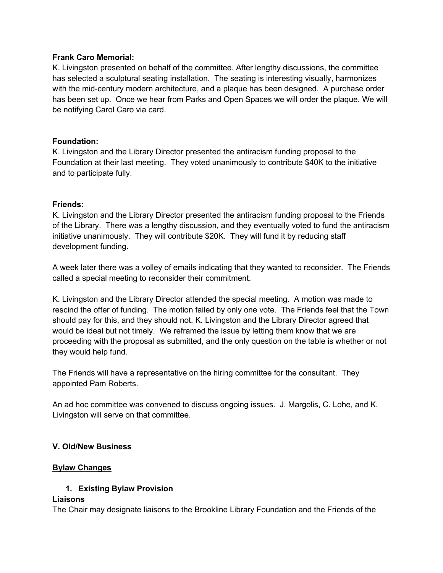### **Frank Caro Memorial:**

K. Livingston presented on behalf of the committee. After lengthy discussions, the committee has selected a sculptural seating installation. The seating is interesting visually, harmonizes with the mid-century modern architecture, and a plaque has been designed. A purchase order has been set up. Once we hear from Parks and Open Spaces we will order the plaque. We will be notifying Carol Caro via card.

### **Foundation:**

K. Livingston and the Library Director presented the antiracism funding proposal to the Foundation at their last meeting. They voted unanimously to contribute \$40K to the initiative and to participate fully.

### **Friends:**

K. Livingston and the Library Director presented the antiracism funding proposal to the Friends of the Library. There was a lengthy discussion, and they eventually voted to fund the antiracism initiative unanimously. They will contribute \$20K. They will fund it by reducing staff development funding.

A week later there was a volley of emails indicating that they wanted to reconsider. The Friends called a special meeting to reconsider their commitment.

K. Livingston and the Library Director attended the special meeting. A motion was made to rescind the offer of funding. The motion failed by only one vote. The Friends feel that the Town should pay for this, and they should not. K. Livingston and the Library Director agreed that would be ideal but not timely. We reframed the issue by letting them know that we are proceeding with the proposal as submitted, and the only question on the table is whether or not they would help fund.

The Friends will have a representative on the hiring committee for the consultant. They appointed Pam Roberts.

An ad hoc committee was convened to discuss ongoing issues. J. Margolis, C. Lohe, and K. Livingston will serve on that committee.

### **V. Old/New Business**

### **Bylaw Changes**

# **1. Existing Bylaw Provision**

### **Liaisons**

The Chair may designate liaisons to the Brookline Library Foundation and the Friends of the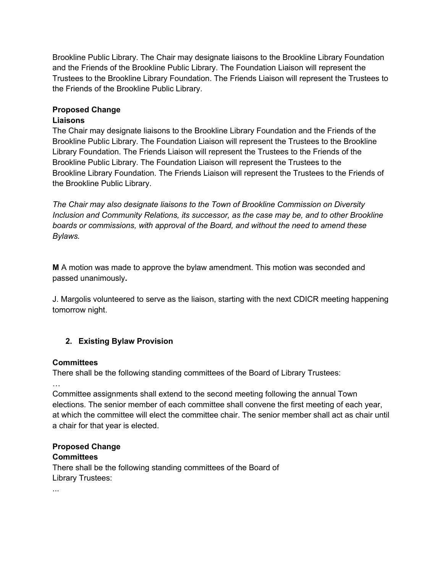Brookline Public Library. The Chair may designate liaisons to the Brookline Library Foundation and the Friends of the Brookline Public Library. The Foundation Liaison will represent the Trustees to the Brookline Library Foundation. The Friends Liaison will represent the Trustees to the Friends of the Brookline Public Library.

# **Proposed Change**

# **Liaisons**

The Chair may designate liaisons to the Brookline Library Foundation and the Friends of the Brookline Public Library. The Foundation Liaison will represent the Trustees to the Brookline Library Foundation. The Friends Liaison will represent the Trustees to the Friends of the Brookline Public Library. The Foundation Liaison will represent the Trustees to the Brookline Library Foundation. The Friends Liaison will represent the Trustees to the Friends of the Brookline Public Library.

*The Chair may also designate liaisons to the Town of Brookline Commission on Diversity Inclusion and Community Relations, its successor, as the case may be, and to other Brookline boards or commissions, with approval of the Board, and without the need to amend these Bylaws.*

**M** A motion was made to approve the bylaw amendment. This motion was seconded and passed unanimously**.** 

J. Margolis volunteered to serve as the liaison, starting with the next CDICR meeting happening tomorrow night.

# **2. Existing Bylaw Provision**

# **Committees**

There shall be the following standing committees of the Board of Library Trustees:

…

Committee assignments shall extend to the second meeting following the annual Town elections. The senior member of each committee shall convene the first meeting of each year, at which the committee will elect the committee chair. The senior member shall act as chair until a chair for that year is elected.

# **Proposed Change**

# **Committees**

There shall be the following standing committees of the Board of Library Trustees:

...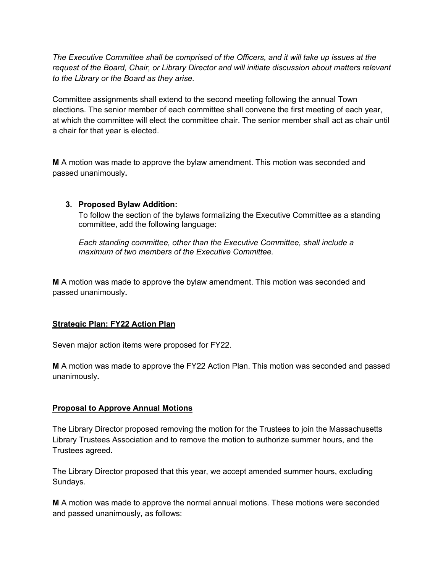*The Executive Committee shall be comprised of the Officers, and it will take up issues at the request of the Board, Chair, or Library Director and will initiate discussion about matters relevant to the Library or the Board as they arise.*

Committee assignments shall extend to the second meeting following the annual Town elections. The senior member of each committee shall convene the first meeting of each year, at which the committee will elect the committee chair. The senior member shall act as chair until a chair for that year is elected.

**M** A motion was made to approve the bylaw amendment. This motion was seconded and passed unanimously**.** 

### **3. Proposed Bylaw Addition:**

To follow the section of the bylaws formalizing the Executive Committee as a standing committee, add the following language:

*Each standing committee, other than the Executive Committee, shall include a maximum of two members of the Executive Committee.* 

**M** A motion was made to approve the bylaw amendment. This motion was seconded and passed unanimously**.** 

### **Strategic Plan: FY22 Action Plan**

Seven major action items were proposed for FY22.

**M** A motion was made to approve the FY22 Action Plan. This motion was seconded and passed unanimously**.** 

### **Proposal to Approve Annual Motions**

The Library Director proposed removing the motion for the Trustees to join the Massachusetts Library Trustees Association and to remove the motion to authorize summer hours, and the Trustees agreed.

The Library Director proposed that this year, we accept amended summer hours, excluding Sundays.

**M** A motion was made to approve the normal annual motions. These motions were seconded and passed unanimously**,** as follows: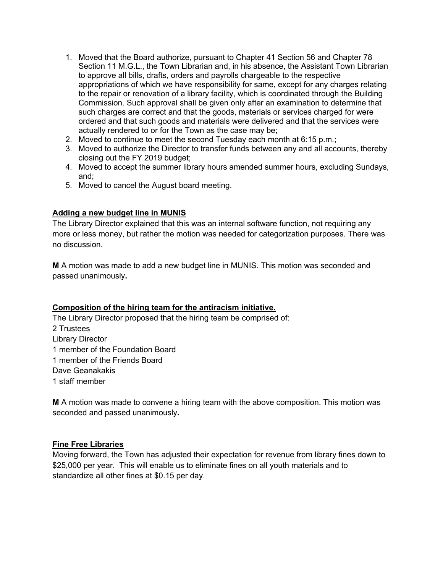- 1. Moved that the Board authorize, pursuant to Chapter 41 Section 56 and Chapter 78 Section 11 M.G.L., the Town Librarian and, in his absence, the Assistant Town Librarian to approve all bills, drafts, orders and payrolls chargeable to the respective appropriations of which we have responsibility for same, except for any charges relating to the repair or renovation of a library facility, which is coordinated through the Building Commission. Such approval shall be given only after an examination to determine that such charges are correct and that the goods, materials or services charged for were ordered and that such goods and materials were delivered and that the services were actually rendered to or for the Town as the case may be;
- 2. Moved to continue to meet the second Tuesday each month at 6:15 p.m.;
- 3. Moved to authorize the Director to transfer funds between any and all accounts, thereby closing out the FY 2019 budget;
- 4. Moved to accept the summer library hours amended summer hours, excluding Sundays, and;
- 5. Moved to cancel the August board meeting.

### **Adding a new budget line in MUNIS**

The Library Director explained that this was an internal software function, not requiring any more or less money, but rather the motion was needed for categorization purposes. There was no discussion.

**M** A motion was made to add a new budget line in MUNIS. This motion was seconded and passed unanimously**.** 

### **Composition of the hiring team for the antiracism initiative.**

The Library Director proposed that the hiring team be comprised of: 2 Trustees Library Director 1 member of the Foundation Board 1 member of the Friends Board Dave Geanakakis 1 staff member

**M** A motion was made to convene a hiring team with the above composition. This motion was seconded and passed unanimously**.** 

### **Fine Free Libraries**

Moving forward, the Town has adjusted their expectation for revenue from library fines down to \$25,000 per year. This will enable us to eliminate fines on all youth materials and to standardize all other fines at \$0.15 per day.